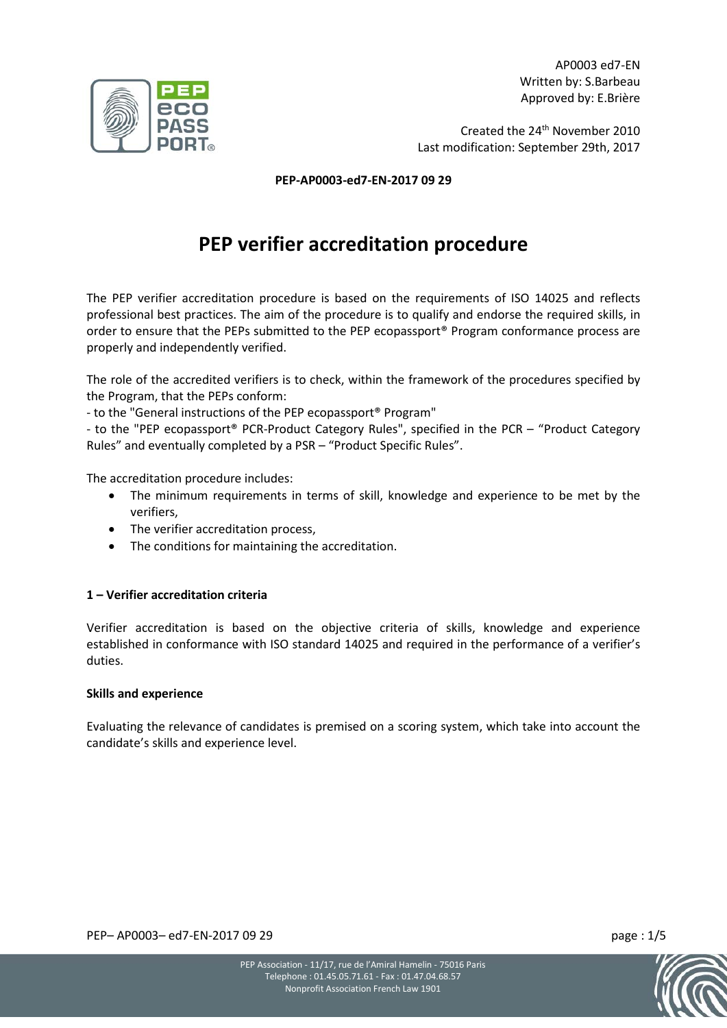AP0003 ed7-EN Written by: S.Barbeau Approved by: E.Brière

Created the 24<sup>th</sup> November 2010 Last modification: September 29th, 2017

**PEP-AP0003-ed7-EN-2017 09 29**

# **PEP verifier accreditation procedure**

The PEP verifier accreditation procedure is based on the requirements of ISO 14025 and reflects professional best practices. The aim of the procedure is to qualify and endorse the required skills, in order to ensure that the PEPs submitted to the PEP ecopassport® Program conformance process are properly and independently verified.

The role of the accredited verifiers is to check, within the framework of the procedures specified by the Program, that the PEPs conform:

- to the "General instructions of the PEP ecopassport® Program"

- to the "PEP ecopassport® PCR-Product Category Rules", specified in the PCR – "Product Category Rules" and eventually completed by a PSR – "Product Specific Rules".

The accreditation procedure includes:

- The minimum requirements in terms of skill, knowledge and experience to be met by the verifiers,
- The verifier accreditation process,
- The conditions for maintaining the accreditation.

### **1 – Verifier accreditation criteria**

Verifier accreditation is based on the objective criteria of skills, knowledge and experience established in conformance with ISO standard 14025 and required in the performance of a verifier's duties.

#### **Skills and experience**

Evaluating the relevance of candidates is premised on a scoring system, which take into account the candidate's skills and experience level.

PEP– AP0003– ed7-EN-2017 09 29 page : 1/5



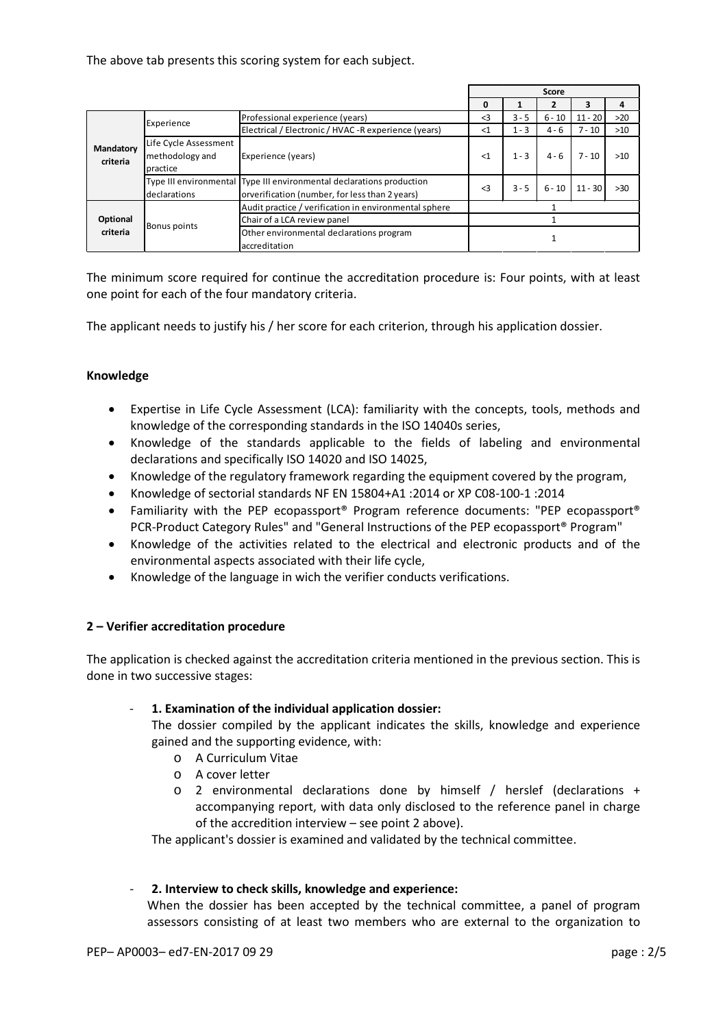The above tab presents this scoring system for each subject.

|                       |                       |                                                                       | Score    |         |          |           |       |
|-----------------------|-----------------------|-----------------------------------------------------------------------|----------|---------|----------|-----------|-------|
|                       |                       |                                                                       | 0        |         |          |           | 4     |
| Mandatory<br>criteria | Experience            | Professional experience (years)                                       | $\leq$ 3 | $3 - 5$ | $6 - 10$ | $11 - 20$ | $>20$ |
|                       |                       | Electrical / Electronic / HVAC - Rexperience (years)                  | $<$ 1    | $1 - 3$ | $4 - 6$  | $7 - 10$  | $>10$ |
|                       | Life Cycle Assessment |                                                                       |          |         |          |           |       |
|                       | methodology and       | Experience (years)                                                    | $<$ 1    | $1 - 3$ | $4 - 6$  | $7 - 10$  | >10   |
|                       | practice              |                                                                       |          |         |          |           |       |
|                       |                       | Type III environmental Type III environmental declarations production | $\leq$ 3 | $3 - 5$ | $6 - 10$ | $11 - 30$ | >30   |
|                       | declarations          | orverification (number, for less than 2 years)                        |          |         |          |           |       |
| Optional              |                       | Audit practice / verification in environmental sphere                 |          |         |          |           |       |
|                       |                       | Chair of a LCA review panel                                           |          |         |          |           |       |
| criteria              | <b>Bonus points</b>   | Other environmental declarations program                              |          |         |          |           |       |
|                       |                       | accreditation                                                         |          |         |          |           |       |

The minimum score required for continue the accreditation procedure is: Four points, with at least one point for each of the four mandatory criteria.

The applicant needs to justify his / her score for each criterion, through his application dossier.

# **Knowledge**

- Expertise in Life Cycle Assessment (LCA): familiarity with the concepts, tools, methods and knowledge of the corresponding standards in the ISO 14040s series,
- Knowledge of the standards applicable to the fields of labeling and environmental declarations and specifically ISO 14020 and ISO 14025,
- Knowledge of the regulatory framework regarding the equipment covered by the program,
- Knowledge of sectorial standards NF EN 15804+A1 :2014 or XP C08-100-1 :2014
- Familiarity with the PEP ecopassport® Program reference documents: "PEP ecopassport® PCR-Product Category Rules" and "General Instructions of the PEP ecopassport® Program"
- Knowledge of the activities related to the electrical and electronic products and of the environmental aspects associated with their life cycle,
- Knowledge of the language in wich the verifier conducts verifications.

### **2 – Verifier accreditation procedure**

The application is checked against the accreditation criteria mentioned in the previous section. This is done in two successive stages:

### - **1. Examination of the individual application dossier:**

The dossier compiled by the applicant indicates the skills, knowledge and experience gained and the supporting evidence, with:

- o A Curriculum Vitae
- o A cover letter
- o 2 environmental declarations done by himself / herslef (declarations + accompanying report, with data only disclosed to the reference panel in charge of the accredition interview – see point 2 above).

The applicant's dossier is examined and validated by the technical committee.

### - **2. Interview to check skills, knowledge and experience:**

When the dossier has been accepted by the technical committee, a panel of program assessors consisting of at least two members who are external to the organization to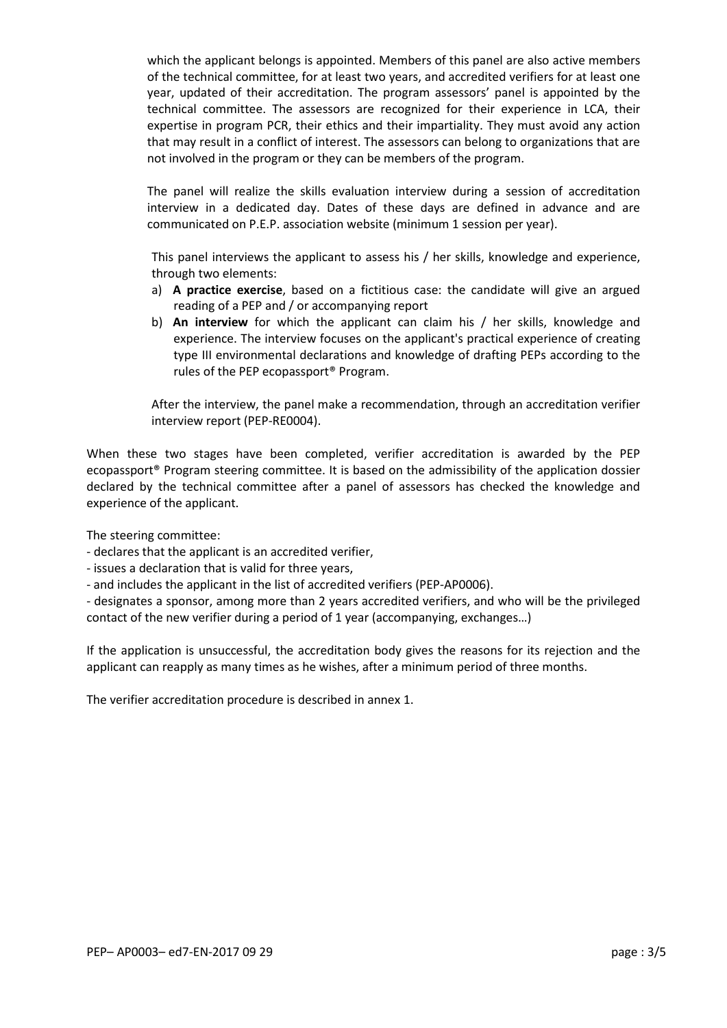which the applicant belongs is appointed. Members of this panel are also active members of the technical committee, for at least two years, and accredited verifiers for at least one year, updated of their accreditation. The program assessors' panel is appointed by the technical committee. The assessors are recognized for their experience in LCA, their expertise in program PCR, their ethics and their impartiality. They must avoid any action that may result in a conflict of interest. The assessors can belong to organizations that are not involved in the program or they can be members of the program.

The panel will realize the skills evaluation interview during a session of accreditation interview in a dedicated day. Dates of these days are defined in advance and are communicated on P.E.P. association website (minimum 1 session per year).

This panel interviews the applicant to assess his / her skills, knowledge and experience, through two elements:

- a) **A practice exercise**, based on a fictitious case: the candidate will give an argued reading of a PEP and / or accompanying report
- b) **An interview** for which the applicant can claim his / her skills, knowledge and experience. The interview focuses on the applicant's practical experience of creating type III environmental declarations and knowledge of drafting PEPs according to the rules of the PEP ecopassport® Program.

After the interview, the panel make a recommendation, through an accreditation verifier interview report (PEP-RE0004).

When these two stages have been completed, verifier accreditation is awarded by the PEP ecopassport® Program steering committee. It is based on the admissibility of the application dossier declared by the technical committee after a panel of assessors has checked the knowledge and experience of the applicant.

The steering committee:

- declares that the applicant is an accredited verifier,

- issues a declaration that is valid for three years,

- and includes the applicant in the list of accredited verifiers (PEP-AP0006).

- designates a sponsor, among more than 2 years accredited verifiers, and who will be the privileged contact of the new verifier during a period of 1 year (accompanying, exchanges…)

If the application is unsuccessful, the accreditation body gives the reasons for its rejection and the applicant can reapply as many times as he wishes, after a minimum period of three months.

The verifier accreditation procedure is described in annex 1.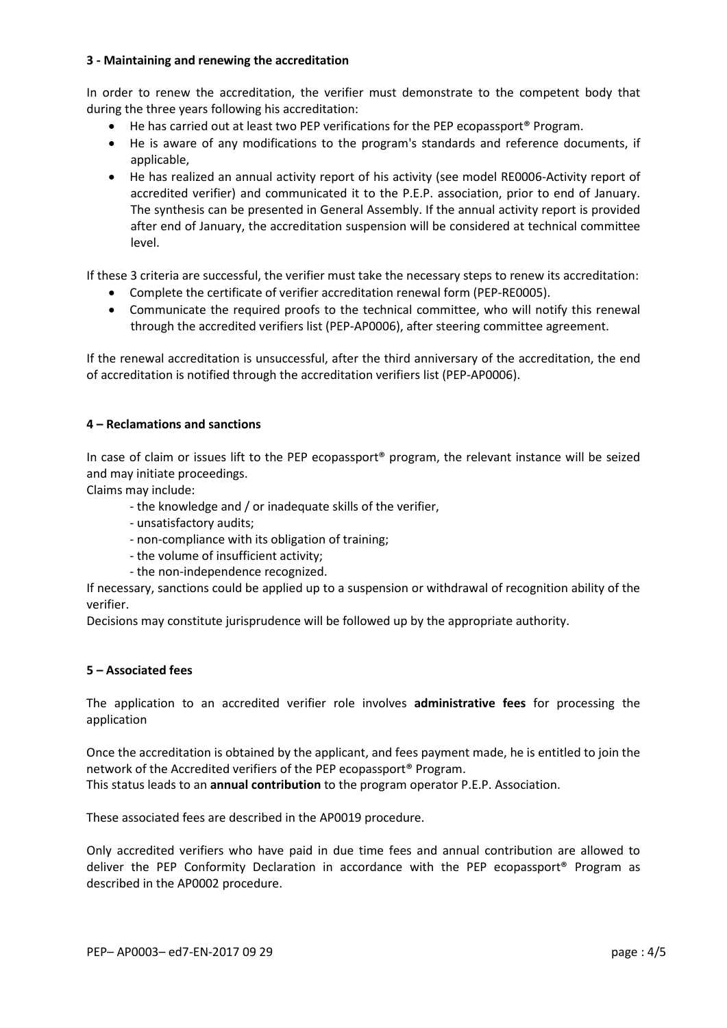### **3 - Maintaining and renewing the accreditation**

In order to renew the accreditation, the verifier must demonstrate to the competent body that during the three years following his accreditation:

- He has carried out at least two PEP verifications for the PEP ecopassport<sup>®</sup> Program.
- He is aware of any modifications to the program's standards and reference documents, if applicable,
- He has realized an annual activity report of his activity (see model RE0006-Activity report of accredited verifier) and communicated it to the P.E.P. association, prior to end of January. The synthesis can be presented in General Assembly. If the annual activity report is provided after end of January, the accreditation suspension will be considered at technical committee level.

If these 3 criteria are successful, the verifier must take the necessary steps to renew its accreditation:

- Complete the certificate of verifier accreditation renewal form (PEP-RE0005).
- Communicate the required proofs to the technical committee, who will notify this renewal through the accredited verifiers list (PEP-AP0006), after steering committee agreement.

If the renewal accreditation is unsuccessful, after the third anniversary of the accreditation, the end of accreditation is notified through the accreditation verifiers list (PEP-AP0006).

# **4 – Reclamations and sanctions**

In case of claim or issues lift to the PEP ecopassport® program, the relevant instance will be seized and may initiate proceedings.

Claims may include:

- the knowledge and / or inadequate skills of the verifier,
- unsatisfactory audits;
- non-compliance with its obligation of training;
- the volume of insufficient activity;
- the non-independence recognized.

If necessary, sanctions could be applied up to a suspension or withdrawal of recognition ability of the verifier.

Decisions may constitute jurisprudence will be followed up by the appropriate authority.

### **5 – Associated fees**

The application to an accredited verifier role involves **administrative fees** for processing the application

Once the accreditation is obtained by the applicant, and fees payment made, he is entitled to join the network of the Accredited verifiers of the PEP ecopassport® Program. This status leads to an **annual contribution** to the program operator P.E.P. Association.

These associated fees are described in the AP0019 procedure.

Only accredited verifiers who have paid in due time fees and annual contribution are allowed to deliver the PEP Conformity Declaration in accordance with the PEP ecopassport® Program as described in the AP0002 procedure.